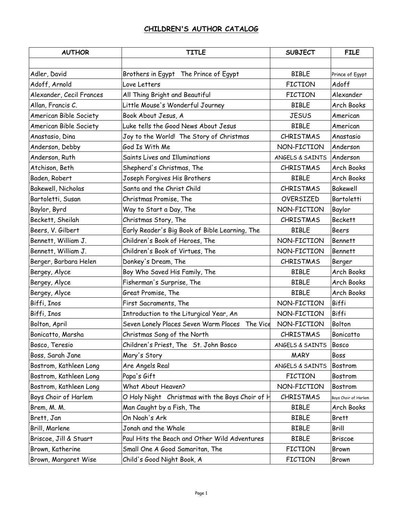| <b>AUTHOR</b>            | <b>TITLE</b>                                      | <b>SUBJECT</b>   | <b>FILE</b>          |
|--------------------------|---------------------------------------------------|------------------|----------------------|
|                          |                                                   |                  |                      |
| Adler, David             | Brothers in Egypt The Prince of Egypt             | <b>BIBLE</b>     | Prince of Egypt      |
| Adoff, Arnold            | Love Letters                                      | <b>FICTION</b>   | Adoff                |
| Alexander, Cecil Frances | All Thing Bright and Beautiful                    | <b>FICTION</b>   | Alexander            |
| Allan, Francis C.        | Little Mouse's Wonderful Journey                  | <b>BIBLE</b>     | Arch Books           |
| American Bible Society   | Book About Jesus, A                               | <b>JESUS</b>     | American             |
| American Bible Society   | Luke tells the Good News About Jesus              | <b>BIBLE</b>     | American             |
| Anastasio, Dina          | Joy to the World! The Story of Christmas          | <b>CHRISTMAS</b> | Anastasio            |
| Anderson, Debby          | God Is With Me                                    | NON-FICTION      | Anderson             |
| Anderson, Ruth           | Saints Lives and Illuminations                    | ANGELS & SAINTS  | Anderson             |
| Atchison, Beth           | Shepherd's Christmas, The                         | <b>CHRISTMAS</b> | Arch Books           |
| Baden, Robert            | Joseph Forgives His Brothers                      | <b>BIBLE</b>     | Arch Books           |
| Bakewell, Nicholas       | Santa and the Christ Child                        | <b>CHRISTMAS</b> | Bakewell             |
| Bartoletti, Susan        | Christmas Promise, The                            | OVERSIZED        | Bartoletti           |
| Baylor, Byrd             | Way to Start a Day, The                           | NON-FICTION      | Baylor               |
| Beckett, Sheilah         | Christmas Story, The                              | <b>CHRISTMAS</b> | <b>Beckett</b>       |
| Beers, V. Gilbert        | Early Reader's Big Book of Bible Learning, The    | <b>BIBLE</b>     | <b>Beers</b>         |
| Bennett, William J.      | Children's Book of Heroes, The                    | NON-FICTION      | <b>Bennett</b>       |
| Bennett, William J.      | Children's Book of Virtues, The                   | NON-FICTION      | <b>Bennett</b>       |
| Berger, Barbara Helen    | Donkey's Dream, The                               | <b>CHRISTMAS</b> | Berger               |
| Bergey, Alyce            | Boy Who Saved His Family, The                     | <b>BIBLE</b>     | Arch Books           |
| Bergey, Alyce            | Fisherman's Surprise, The                         | <b>BIBLE</b>     | Arch Books           |
| Bergey, Alyce            | Great Promise, The                                | <b>BIBLE</b>     | Arch Books           |
| Biffi, Inos              | First Sacraments, The                             | NON-FICTION      | Biffi                |
| Biffi, Inos              | Introduction to the Liturgical Year, An           | NON-FICTION      | <b>Biffi</b>         |
| Bolton, April            | Seven Lonely Places Seven Warm Places<br>The Vice | NON-FICTION      | Bolton               |
| Bonicatto, Marsha        | Christmas Song of the North                       | <b>CHRISTMAS</b> | Bonicatto            |
| Bosco, Teresio           | Children's Priest, The St. John Bosco             | ANGELS & SAINTS  | <b>Bosco</b>         |
| Boss, Sarah Jane         | Mary's Story                                      | <b>MARY</b>      | Boss                 |
| Bostrom, Kathleen Long   | Are Angels Real                                   | ANGELS & SAINTS  | Bostrom              |
| Bostrom, Kathleen Long   | Papa's Gift                                       | <b>FICTION</b>   | <b>Bostrom</b>       |
| Bostrom, Kathleen Long   | What About Heaven?                                | NON-FICTION      | Bostrom              |
| Boys Choir of Harlem     | O Holy Night Christmas with the Boys Choir of H   | <b>CHRISTMAS</b> | Boys Choir of Harlem |
| Brem, M. M.              | Man Caught by a Fish, The                         | <b>BIBLE</b>     | Arch Books           |
| Brett, Jan               | On Noah's Ark                                     | <b>BIBLE</b>     | <b>Brett</b>         |
| Brill, Marlene           | Jonah and the Whale                               | <b>BIBLE</b>     | Brill                |
| Briscoe, Jill & Stuart   | Paul Hits the Beach and Other Wild Adventures     | <b>BIBLE</b>     | Briscoe              |
| Brown, Katherine         | Small One A Good Samaritan, The                   | <b>FICTION</b>   | Brown                |
| Brown, Margaret Wise     | Child's Good Night Book, A                        | <b>FICTION</b>   | Brown                |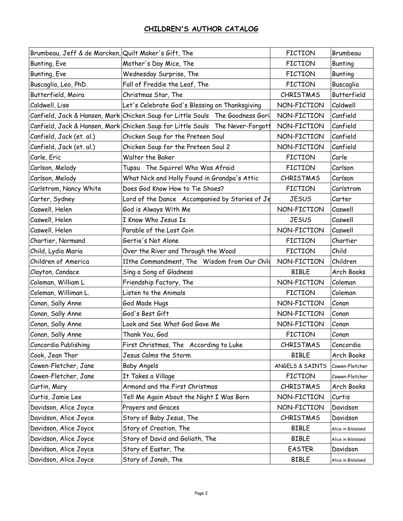| Brumbeau, Jeff & de Marcken, Quilt Maker's Gift, The |                                                                               | <b>FICTION</b>   | Brumbeau           |
|------------------------------------------------------|-------------------------------------------------------------------------------|------------------|--------------------|
| Bunting, Eve                                         | Mother's Day Mice, The                                                        | <b>FICTION</b>   | <b>Bunting</b>     |
| Bunting, Eve                                         | Wednesday Surprise, The                                                       | <b>FICTION</b>   | <b>Bunting</b>     |
| Buscaglia, Leo, PhD.                                 | Fall of Freddie the Leaf, The                                                 | <b>FICTION</b>   | Buscaglia          |
| Butterfield, Moira                                   | Christmas Star, The                                                           | <b>CHRISTMAS</b> | Butterfield        |
| Caldwell, Lise                                       | Let's Celebrate God's Blessing on Thanksgiving                                | NON-FICTION      | Caldwell           |
|                                                      | Canfield, Jack & Hansen, Mark Chicken Soup for Little Souls The Goodness Gori | NON-FICTION      | Canfield           |
|                                                      | Canfield, Jack & Hansen, Mark Chicken Soup for Little Souls The Never-Forgott | NON-FICTION      | Canfield           |
| Canfield, Jack (et. al.)                             | Chicken Soup for the Preteen Soul                                             | NON-FICTION      | Canfield           |
| Canfield, Jack (et. al.)                             | Chicken Soup for the Preteen Soul 2                                           | NON-FICTION      | Canfield           |
| Carle, Eric                                          | Walter the Baker                                                              | <b>FICTION</b>   | Carle              |
| Carlson, Melody                                      | Tupsu The Squirrel Who Was Afraid                                             | <b>FICTION</b>   | Carlson            |
| Carlson, Melody                                      | What Nick and Holly Found in Grandpa's Attic                                  | <b>CHRISTMAS</b> | Carlson            |
| Carlstrom, Nancy White                               | Does God Know How to Tie Shoes?                                               | <b>FICTION</b>   | Carlstrom          |
| Carter, Sydney                                       | Lord of the Dance Accompanied by Stories of Je                                | <b>JESUS</b>     | Carter             |
| Caswell, Helen                                       | God is Always With Me                                                         | NON-FICTION      | Caswell            |
| Caswell, Helen                                       | I Know Who Jesus Is                                                           | <b>JESUS</b>     | Caswell            |
| Caswell, Helen                                       | Parable of the Lost Coin                                                      | NON-FICTION      | Caswell            |
| Chartier, Normand                                    | Gertie's Not Alone                                                            | <b>FICTION</b>   | Chartier           |
| Child, Lydia Maria                                   | Over the River and Through the Wood                                           | <b>FICTION</b>   | Child              |
| Children of America                                  | 11the Commandment, The Wisdom from Our Child                                  | NON-FICTION      | Children           |
| Clayton, Candace                                     | Sing a Song of Gladness                                                       | <b>BIBLE</b>     | Arch Books         |
| Coleman, William L                                   | Friendship Factory, The                                                       | NON-FICTION      | Coleman            |
| Coleman, Williman L.                                 | Listen to the Animals                                                         | <b>FICTION</b>   | Coleman            |
| Conan, Sally Anne                                    | God Made Hugs                                                                 | NON-FICTION      | Conan              |
| Conan, Sally Anne                                    | God's Best Gift                                                               | NON-FICTION      | Conan              |
| Conan, Sally Anne                                    | Look and See What God Gave Me                                                 | NON-FICTION      | Conan              |
| Conan, Sally Anne                                    | Thank You, God                                                                | <b>FICTION</b>   | Conan              |
| Concordia Publishing                                 | First Christmas, The According to Luke                                        | CHRISTMAS        | Concordia          |
| Cook, Jean Thor                                      | Jesus Calms the Storm                                                         | <b>BIBLE</b>     | Arch Books         |
| Cowen-Fletcher, Jane                                 | <b>Baby Angels</b>                                                            | ANGELS & SAINTS  | Cowen-Fletcher     |
| Cowen-Fletcher, Jane                                 | It Takes a Village                                                            | <b>FICTION</b>   | Cowen-Fletcher     |
| Curtin, Mary                                         | Armond and the First Christmas                                                | <b>CHRISTMAS</b> | Arch Books         |
| Curtis, Jamie Lee                                    | Tell Me Again About the Night I Was Born                                      | NON-FICTION      | Curtis             |
| Davidson, Alice Joyce                                | Prayers and Graces                                                            | NON-FICTION      | Davidson           |
| Davidson, Alice Joyce                                | Story of Baby Jesus, The                                                      | <b>CHRISTMAS</b> | Davidson           |
| Davidson, Alice Joyce                                | Story of Creation, The                                                        | <b>BIBLE</b>     | Alice in Bibleland |
| Davidson, Alice Joyce                                | Story of David and Goliath, The                                               | <b>BIBLE</b>     | Alice in Bibleland |
| Davidson, Alice Joyce                                | Story of Easter, The                                                          | <b>EASTER</b>    | Davidson           |
| Davidson, Alice Joyce                                | Story of Jonah, The                                                           | <b>BIBLE</b>     | Alice in Bibleland |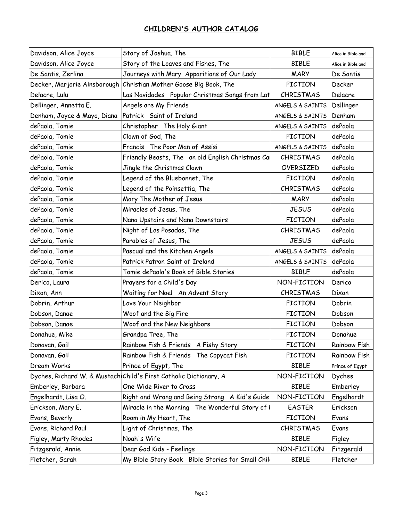| Davidson, Alice Joyce        | Story of Joshua, The                                              | <b>BIBLE</b>     | Alice in Bibleland  |
|------------------------------|-------------------------------------------------------------------|------------------|---------------------|
| Davidson, Alice Joyce        | Story of the Loaves and Fishes, The                               | <b>BIBLE</b>     | Alice in Bibleland  |
| De Santis, Zerlina           | Journeys with Mary Apparitions of Our Lady                        | <b>MARY</b>      | De Santis           |
| Decker, Marjorie Ainsborough | Christian Mother Goose Big Book, The                              | <b>FICTION</b>   | Decker              |
| Delacre, Lulu                | Las Navidades Popular Christmas Songs from Lat                    | <b>CHRISTMAS</b> | Delacre             |
| Dellinger, Annetta E.        | Angels are My Friends                                             | ANGELS & SAINTS  | Dellinger           |
| Denham, Joyce & Mayo, Diana  | Patrick Saint of Ireland                                          | ANGELS & SAINTS  | Denham              |
| dePaola, Tomie               | Christopher The Holy Giant                                        | ANGELS & SAINTS  | dePaola             |
| dePaola, Tomie               | Clown of God, The                                                 | <b>FICTION</b>   | dePaola             |
| dePaola, Tomie               | Francis The Poor Man of Assisi                                    | ANGELS & SAINTS  | dePaola             |
| dePaola, Tomie               | Friendly Beasts, The an old English Christmas Ca                  | <b>CHRISTMAS</b> | dePaola             |
| dePaola, Tomie               | Jingle the Christmas Clown                                        | OVERSIZED        | dePaola             |
| dePaola, Tomie               | Legend of the Bluebonnet, The                                     | <b>FICTION</b>   | dePaola             |
| dePaola, Tomie               | Legend of the Poinsettia, The                                     | <b>CHRISTMAS</b> | dePaola             |
| dePaola, Tomie               | Mary The Mother of Jesus                                          | <b>MARY</b>      | dePaola             |
| dePaola, Tomie               | Miracles of Jesus, The                                            | <b>JESUS</b>     | dePaola             |
| dePaola, Tomie               | Nana Upstairs and Nana Downstairs                                 | <b>FICTION</b>   | dePaola             |
| dePaola, Tomie               | Night of Las Posadas, The                                         | <b>CHRISTMAS</b> | dePaola             |
| dePaola, Tomie               | Parables of Jesus, The                                            | <b>JESUS</b>     | dePaola             |
| dePaola, Tomie               | Pascual and the Kitchen Angels                                    | ANGELS & SAINTS  | dePaola             |
| dePaola, Tomie               | Patrick Patron Saint of Ireland                                   | ANGELS & SAINTS  | dePaola             |
| dePaola, Tomie               | Tomie dePaola's Book of Bible Stories                             | <b>BIBLE</b>     | dePaola             |
| Derico, Laura                | Prayers for a Child's Day                                         | NON-FICTION      | Derico              |
| Dixon, Ann                   | Waiting for Noel An Advent Story                                  | <b>CHRISTMAS</b> | Dixon               |
| Dobrin, Arthur               | Love Your Neighbor                                                | <b>FICTION</b>   | Dobrin              |
| Dobson, Danae                | Woof and the Big Fire                                             | <b>FICTION</b>   | Dobson              |
| Dobson, Danae                | Woof and the New Neighbors                                        | <b>FICTION</b>   | Dobson              |
| Donahue, Mike                | Grandpa Tree, The                                                 | <b>FICTION</b>   | Donahue             |
| Donavan, Gail                | Rainbow Fish & Friends A Fishy Story                              | <b>FICTION</b>   | <b>Rainbow Fish</b> |
| Donavan, Gail                | Rainbow Fish & Friends The Copycat Fish                           | <b>FICTION</b>   | Rainbow Fish        |
| Dream Works                  | Prince of Egypt, The                                              | <b>BIBLE</b>     | Prince of Egypt     |
|                              | Dyches, Richard W. & Mustach Child's First Catholic Dictionary, A | NON-FICTION      | Dyches              |
| Emberley, Barbara            | One Wide River to Cross                                           | <b>BIBLE</b>     | Emberley            |
| Engelhardt, Lisa O.          | Right and Wrong and Being Strong A Kid's Guide                    | NON-FICTION      | Engelhardt          |
| Erickson, Mary E.            | Miracle in the Morning The Wonderful Story of                     | <b>EASTER</b>    | Erickson            |
| Evans, Beverly               | Room in My Heart, The                                             | <b>FICTION</b>   | Evans               |
| Evans, Richard Paul          | Light of Christmas, The                                           | <b>CHRISTMAS</b> | Evans               |
| Figley, Marty Rhodes         | Noah's Wife                                                       | <b>BIBLE</b>     | Figley              |
| Fitzgerald, Annie            | Dear God Kids - Feelings                                          | NON-FICTION      | Fitzgerald          |
| Fletcher, Sarah              | My Bible Story Book Bible Stories for Small Chile                 | <b>BIBLE</b>     | Fletcher            |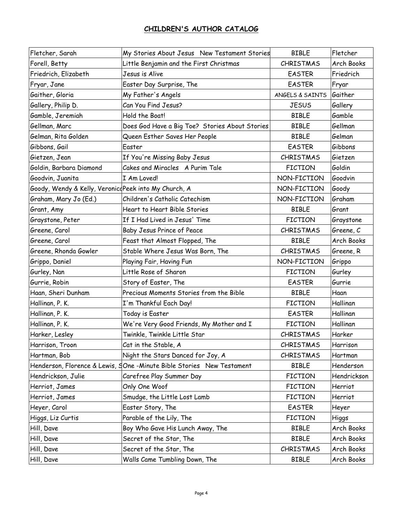| Fletcher, Sarah                                      | My Stories About Jesus New Testament Stories                          | <b>BIBLE</b>     | Fletcher    |
|------------------------------------------------------|-----------------------------------------------------------------------|------------------|-------------|
| Forell, Betty                                        | Little Benjamin and the First Christmas                               | <b>CHRISTMAS</b> | Arch Books  |
| Friedrich, Elizabeth                                 | Jesus is Alive                                                        | <b>EASTER</b>    | Friedrich   |
| Fryar, Jane                                          | Easter Day Surprise, The                                              | <b>EASTER</b>    | Fryar       |
| Gaither, Gloria                                      | My Father's Angels                                                    | ANGELS & SAINTS  | Gaither     |
| Gallery, Philip D.                                   | Can You Find Jesus?                                                   | <b>JESUS</b>     | Gallery     |
| Gamble, Jeremiah                                     | Hold the Boat!                                                        | <b>BIBLE</b>     | Gamble      |
| Gellman, Marc                                        | Does God Have a Big Toe? Stories About Stories                        | <b>BIBLE</b>     | Gellman     |
| Gelman, Rita Golden                                  | Queen Esther Saves Her People                                         | <b>BIBLE</b>     | Gelman      |
| Gibbons, Gail                                        | Easter                                                                | <b>EASTER</b>    | Gibbons     |
| Gietzen, Jean                                        | If You're Missing Baby Jesus                                          | <b>CHRISTMAS</b> | Gietzen     |
| Goldin, Barbara Diamond                              | Cakes and Miracles A Purim Tale                                       | <b>FICTION</b>   | Goldin      |
| Goodvin, Juanita                                     | I Am Loved!                                                           | NON-FICTION      | Goodvin     |
| Goody, Wendy & Kelly, VeronicdPeek into My Church, A |                                                                       | NON-FICTION      | Goody       |
| Graham, Mary Jo (Ed.)                                | Children's Catholic Catechism                                         | NON-FICTION      | Graham      |
| Grant, Amy                                           | Heart to Heart Bible Stories                                          | <b>BIBLE</b>     | Grant       |
| Graystone, Peter                                     | If I Had Lived in Jesus' Time                                         | <b>FICTION</b>   | Graystone   |
| Greene, Carol                                        | Baby Jesus Prince of Peace                                            | <b>CHRISTMAS</b> | Greene, C   |
| Greene, Carol                                        | Feast that Almost Flopped, The                                        | <b>BIBLE</b>     | Arch Books  |
| Greene, Rhonda Gowler                                | Stable Where Jesus Was Born, The                                      | <b>CHRISTMAS</b> | Greene, R   |
| Grippo, Daniel                                       | Playing Fair, Having Fun                                              | NON-FICTION      | Grippo      |
| Gurley, Nan                                          | Little Rose of Sharon                                                 | <b>FICTION</b>   | Gurley      |
| Gurrie, Robin                                        | Story of Easter, The                                                  | <b>EASTER</b>    | Gurrie      |
| Haan, Sheri Dunham                                   | Precious Moments Stories from the Bible                               | <b>BIBLE</b>     | Haan        |
| Hallinan, P. K.                                      | I'm Thankful Each Day!                                                | <b>FICTION</b>   | Hallinan    |
| Hallinan, P. K.                                      | Today is Easter                                                       | <b>EASTER</b>    | Hallinan    |
| Hallinan, P. K.                                      | We're Very Good Friends, My Mother and I                              | <b>FICTION</b>   | Hallinan    |
| Harker, Lesley                                       | Twinkle, Twinkle Little Star                                          | CHRISTMAS        | Harker      |
| Harrison, Troon                                      | Cat in the Stable, A                                                  | <b>CHRISTMAS</b> | Harrison    |
| Hartman, Bob                                         | Night the Stars Danced for Joy, A                                     | <b>CHRISTMAS</b> | Hartman     |
|                                                      | Henderson, Florence & Lewis, SOne -Minute Bible Stories New Testament | <b>BIBLE</b>     | Henderson   |
| Hendrickson, Julie                                   | Carefree Play Summer Day                                              | <b>FICTION</b>   | Hendrickson |
| Herriot, James                                       | Only One Woof                                                         | <b>FICTION</b>   | Herriot     |
| Herriot, James                                       | Smudge, the Little Lost Lamb                                          | <b>FICTION</b>   | Herriot     |
| Heyer, Carol                                         | Easter Story, The                                                     | <b>EASTER</b>    | Heyer       |
| Higgs, Liz Curtis                                    | Parable of the Lily, The                                              | <b>FICTION</b>   | Higgs       |
| Hill, Dave                                           | Boy Who Gave His Lunch Away, The                                      | <b>BIBLE</b>     | Arch Books  |
| Hill, Dave                                           | Secret of the Star, The                                               | <b>BIBLE</b>     | Arch Books  |
| Hill, Dave                                           | Secret of the Star, The                                               | CHRISTMAS        | Arch Books  |
| Hill, Dave                                           | Walls Came Tumbling Down, The                                         | <b>BIBLE</b>     | Arch Books  |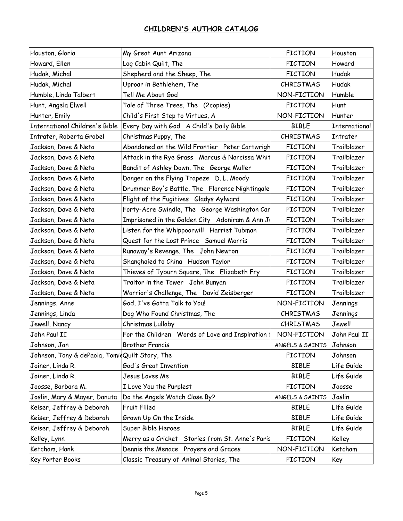| Houston, Gloria                                | My Great Aunt Arizona                            | <b>FICTION</b>   | Houston       |
|------------------------------------------------|--------------------------------------------------|------------------|---------------|
| Howard, Ellen                                  | Log Cabin Quilt, The                             | <b>FICTION</b>   | Howard        |
| Hudak, Michal                                  | Shepherd and the Sheep, The                      | <b>FICTION</b>   | <b>Hudak</b>  |
| Hudak, Michal                                  | Uproar in Bethlehem, The                         | <b>CHRISTMAS</b> | <b>Hudak</b>  |
| Humble, Linda Talbert                          | Tell Me About God                                | NON-FICTION      | Humble        |
| Hunt, Angela Elwell                            | Tale of Three Trees, The (2copies)               | <b>FICTION</b>   | Hunt          |
| Hunter, Emily                                  | Child's First Step to Virtues, A                 | NON-FICTION      | Hunter        |
| International Children's Bible                 | Every Day with God A Child's Daily Bible         | <b>BIBLE</b>     | International |
| Intrater, Roberta Grobel                       | Christmas Puppy, The                             | <b>CHRISTMAS</b> | Intrater      |
| Jackson, Dave & Neta                           | Abandoned on the Wild Frontier Peter Cartwrigh   | <b>FICTION</b>   | Trailblazer   |
| Jackson, Dave & Neta                           | Attack in the Rye Grass Marcus & Narcissa Whit   | <b>FICTION</b>   | Trailblazer   |
| Jackson, Dave & Neta                           | Bandit of Ashley Down, The George Muller         | <b>FICTION</b>   | Trailblazer   |
| Jackson, Dave & Neta                           | Danger on the Flying Trapeze D. L. Moody         | <b>FICTION</b>   | Trailblazer   |
| Jackson, Dave & Neta                           | Drummer Boy's Battle, The Florence Nightingale   | <b>FICTION</b>   | Trailblazer   |
| Jackson, Dave & Neta                           | Flight of the Fugitives Gladys Aylward           | <b>FICTION</b>   | Trailblazer   |
| Jackson, Dave & Neta                           | Forty-Acre Swindle, The George Washington Car    | <b>FICTION</b>   | Trailblazer   |
| Jackson, Dave & Neta                           | Imprisoned in the Golden City Adoniram & Ann J   | <b>FICTION</b>   | Trailblazer   |
| Jackson, Dave & Neta                           | Listen for the Whippoorwill Harriet Tubman       | <b>FICTION</b>   | Trailblazer   |
| Jackson, Dave & Neta                           | Quest for the Lost Prince Samuel Morris          | <b>FICTION</b>   | Trailblazer   |
| Jackson, Dave & Neta                           | Runaway's Revenge, The John Newton               | <b>FICTION</b>   | Trailblazer   |
| Jackson, Dave & Neta                           | Shanghaied to China Hudson Taylor                | <b>FICTION</b>   | Trailblazer   |
| Jackson, Dave & Neta                           | Thieves of Tyburn Square, The Elizabeth Fry      | <b>FICTION</b>   | Trailblazer   |
| Jackson, Dave & Neta                           | Traitor in the Tower John Bunyan                 | <b>FICTION</b>   | Trailblazer   |
| Jackson, Dave & Neta                           | Warrior's Challenge, The David Zeisberger        | <b>FICTION</b>   | Trailblazer   |
| Jennings, Anne                                 | God, I've Gotta Talk to You!                     | NON-FICTION      | Jennings      |
| Jennings, Linda                                | Dog Who Found Christmas, The                     | <b>CHRISTMAS</b> | Jennings      |
| Jewell, Nancy                                  | Christmas Lullaby                                | <b>CHRISTMAS</b> | Jewell        |
| John Paul II                                   | For the Children Words of Love and Inspiration   | NON-FICTION      | John Paul II  |
| Johnson, Jan                                   | <b>Brother Francis</b>                           | ANGELS & SAINTS  | Johnson       |
| Johnson, Tony & dePaola, TomidQuilt Story, The |                                                  | <b>FICTION</b>   | Johnson       |
| Joiner, Linda R.                               | God's Great Invention                            | <b>BIBLE</b>     | Life Guide    |
| Joiner, Linda R.                               | Jesus Loves Me                                   | <b>BIBLE</b>     | Life Guide    |
| Joosse, Barbara M.                             | I Love You the Purplest                          | <b>FICTION</b>   | Joosse        |
| Joslin, Mary & Mayer, Danuta                   | Do the Angels Watch Close By?                    | ANGELS & SAINTS  | Joslin        |
| Keiser, Jeffrey & Deborah                      | Fruit Filled                                     | <b>BIBLE</b>     | Life Guide    |
| Keiser, Jeffrey & Deborah                      | Grown Up On the Inside                           | <b>BIBLE</b>     | Life Guide    |
| Keiser, Jeffrey & Deborah                      | Super Bible Heroes                               | <b>BIBLE</b>     | Life Guide    |
| Kelley, Lynn                                   | Merry as a Cricket Stories from St. Anne's Paris | <b>FICTION</b>   | Kelley        |
| Ketcham, Hank                                  | Dennis the Menace Prayers and Graces             | NON-FICTION      | Ketcham       |
| Key Porter Books                               | Classic Treasury of Animal Stories, The          | <b>FICTION</b>   | Key           |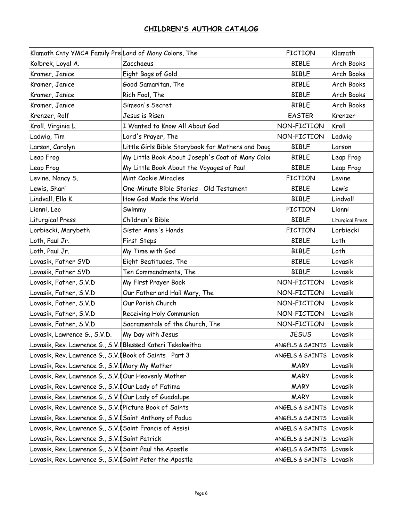| Klamath Cnty YMCA Family PreLand of Many Colors, The      |                                                   | <b>FICTION</b>          | Klamath          |
|-----------------------------------------------------------|---------------------------------------------------|-------------------------|------------------|
| Kolbrek, Loyal A.                                         | Zacchaeus                                         | <b>BIBLE</b>            | Arch Books       |
| Kramer, Janice                                            | Eight Bags of Gold                                | <b>BIBLE</b>            | Arch Books       |
| Kramer, Janice                                            | Good Samaritan, The                               | <b>BIBLE</b>            | Arch Books       |
| Kramer, Janice                                            | Rich Fool, The                                    | <b>BIBLE</b>            | Arch Books       |
| Kramer, Janice                                            | Simeon's Secret                                   | <b>BIBLE</b>            | Arch Books       |
| Krenzer, Rolf                                             | Jesus is Risen                                    | <b>EASTER</b>           | Krenzer          |
| Kroll, Virginia L.                                        | I Wanted to Know All About God                    | NON-FICTION             | Kroll            |
| Ladwig, Tim                                               | Lord's Prayer, The                                | NON-FICTION             | Ladwig           |
| Larson, Carolyn                                           | Little Girls Bible Storybook for Mothers and Daug | <b>BIBLE</b>            | Larson           |
| Leap Frog                                                 | My Little Book About Joseph's Coat of Many Color  | <b>BIBLE</b>            | Leap Frog        |
| Leap Frog                                                 | My Little Book About the Voyages of Paul          | <b>BIBLE</b>            | Leap Frog        |
| Levine, Nancy S.                                          | <b>Mint Cookie Miracles</b>                       | <b>FICTION</b>          | Levine           |
| Lewis, Shari                                              | One-Minute Bible Stories Old Testament            | <b>BIBLE</b>            | Lewis            |
| Lindvall, Ella K.                                         | How God Made the World                            | <b>BIBLE</b>            | Lindvall         |
| Lionni, Leo                                               | Swimmy                                            | <b>FICTION</b>          | Lionni           |
| Liturgical Press                                          | Children's Bible                                  | <b>BIBLE</b>            | Liturgical Press |
| Lorbiecki, Marybeth                                       | Sister Anne's Hands                               | <b>FICTION</b>          | Lorbiecki        |
| Loth, Paul Jr.                                            | First Steps                                       | <b>BIBLE</b>            | Loth             |
| Loth, Paul Jr.                                            | My Time with God                                  | <b>BIBLE</b>            | Loth             |
| Lovasik, Father SVD                                       | Eight Beatitudes, The                             | <b>BIBLE</b>            | Lovasik          |
| Lovasik, Father SVD                                       | Ten Commandments, The                             | <b>BIBLE</b>            | Lovasik          |
| Lovasik, Father, S.V.D                                    | My First Prayer Book                              | NON-FICTION             | Lovasik          |
| Lovasik, Father, S.V.D                                    | Our Father and Hail Mary, The                     | NON-FICTION             | Lovasik          |
| Lovasik, Father, S.V.D                                    | Our Parish Church                                 | NON-FICTION             | Lovasik          |
| Lovasik, Father, S.V.D                                    | Receiving Holy Communion                          | NON-FICTION             | Lovasik          |
| Lovasik, Father, S.V.D                                    | Sacramentals of the Church, The                   | NON-FICTION             | Lovasik          |
| Lovasik, Lawrence G., S.V.D.                              | My Day with Jesus                                 | <b>JESUS</b>            | Lovasik          |
| Lovasik, Rev. Lawrence G., S.V.[Blessed Kateri Tekakwitha |                                                   | ANGELS & SAINTS         | Lovasik          |
| Lovasik, Rev. Lawrence G., S.V. Book of Saints Part 3     |                                                   | ANGELS & SAINTS         | Lovasik          |
| Lovasik, Rev. Lawrence G., S.V. Mary My Mother            |                                                   | <b>MARY</b>             | Lovasik          |
| Lovasik, Rev. Lawrence G., S.V. JOur Heavenly Mother      |                                                   | <b>MARY</b>             | Lovasik          |
| Lovasik, Rev. Lawrence G., S.V. JOur Lady of Fatima       |                                                   | <b>MARY</b>             | Lovasik          |
| Lovasik, Rev. Lawrence G., S.V. JOur Lady of Guadalupe    |                                                   | <b>MARY</b>             | Lovasik          |
| Lovasik, Rev. Lawrence G., S.V. IPicture Book of Saints   |                                                   | ANGELS & SAINTS         | Lovasik          |
| Lovasik, Rev. Lawrence G., S.V. Saint Anthony of Padua    |                                                   | ANGELS & SAINTS         | Lovasik          |
| Lovasik, Rev. Lawrence G., S.V. Saint Francis of Assisi   |                                                   | ANGELS & SAINTS         | Lovasik          |
| Lovasik, Rev. Lawrence G., S.V. Saint Patrick             |                                                   | ANGELS & SAINTS         | Lovasik          |
| Lovasik, Rev. Lawrence G., S.V. Saint Paul the Apostle    |                                                   | ANGELS & SAINTS         | Lovasik          |
| Lovasik, Rev. Lawrence G., S.V. Saint Peter the Apostle   |                                                   | ANGELS & SAINTS Lovasik |                  |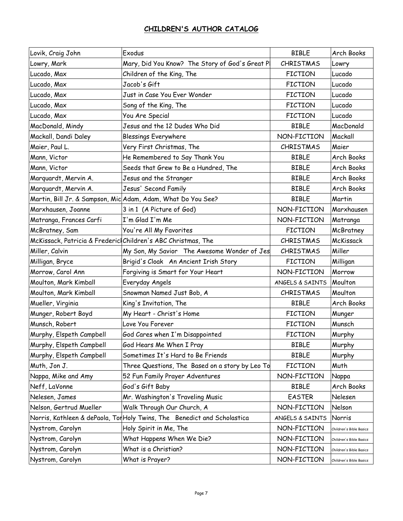| Lovik, Craig John        | Exodus                                                                   | <b>BIBLE</b>     | Arch Books              |
|--------------------------|--------------------------------------------------------------------------|------------------|-------------------------|
| Lowry, Mark              | Mary, Did You Know? The Story of God's Great Pl                          | <b>CHRISTMAS</b> | Lowry                   |
| Lucado, Max              | Children of the King, The                                                | <b>FICTION</b>   | Lucado                  |
| Lucado, Max              | Jacob's Gift                                                             | <b>FICTION</b>   | Lucado                  |
| Lucado, Max              | Just in Case You Ever Wonder                                             | <b>FICTION</b>   | Lucado                  |
| Lucado, Max              | Song of the King, The                                                    | <b>FICTION</b>   | Lucado                  |
| Lucado, Max              | You Are Special                                                          | <b>FICTION</b>   | Lucado                  |
| MacDonald, Mindy         | Jesus and the 12 Dudes Who Did                                           | <b>BIBLE</b>     | <b>MacDonald</b>        |
| Mackall, Dandi Daley     | <b>Blessings Everywhere</b>                                              | NON-FICTION      | Mackall                 |
| Maier, Paul L.           | Very First Christmas, The                                                | <b>CHRISTMAS</b> | Maier                   |
| Mann, Victor             | He Remembered to Say Thank You                                           | <b>BIBLE</b>     | Arch Books              |
| Mann, Victor             | Seeds that Grew to Be a Hundred, The                                     | <b>BIBLE</b>     | Arch Books              |
| Marquardt, Mervin A.     | Jesus and the Stranger                                                   | <b>BIBLE</b>     | Arch Books              |
| Marquardt, Mervin A.     | Jesus' Second Family                                                     | <b>BIBLE</b>     | Arch Books              |
|                          | Martin, Bill Jr. & Sampson, Mic Adam, Adam, What Do You See?             | <b>BIBLE</b>     | Martin                  |
| Marxhausen, Joanne       | 3 in 1 (A Picture of God)                                                | NON-FICTION      | Marxhausen              |
| Matranga, Frances Carfi  | I'm Glad I'm Me                                                          | NON-FICTION      | Matranga                |
| McBratney, Sam           | You're All My Favorites                                                  | <b>FICTION</b>   | McBratney               |
|                          | McKissack, Patricia & Frederic Children's ABC Christmas, The             | CHRISTMAS        | McKissack               |
| Miller, Calvin           | My Son, My Savior The Awesome Wonder of Jes                              | <b>CHRISTMAS</b> | Miller                  |
| Milligan, Bryce          | Brigid's Cloak An Ancient Irish Story                                    | <b>FICTION</b>   | Milligan                |
| Morrow, Carol Ann        | Forgiving is Smart for Your Heart                                        | NON-FICTION      | Morrow                  |
| Moulton, Mark Kimball    | Everyday Angels                                                          | ANGELS & SAINTS  | Moulton                 |
| Moulton, Mark Kimball    | Snowman Named Just Bob, A                                                | <b>CHRISTMAS</b> | Moulton                 |
| Mueller, Virginia        | King's Invitation, The                                                   | <b>BIBLE</b>     | <b>Arch Books</b>       |
| Munger, Robert Boyd      | My Heart - Christ's Home                                                 | <b>FICTION</b>   | Munger                  |
| Munsch, Robert           | Love You Forever                                                         | <b>FICTION</b>   | Munsch                  |
| Murphy, Elspeth Campbell | God Cares when I'm Disappointed                                          | <b>FICTION</b>   | Murphy                  |
| Murphy, Elspeth Campbell | God Hears Me When I Pray                                                 | <b>BIBLE</b>     | Murphy                  |
| Murphy, Elspeth Campbell | Sometimes It's Hard to Be Friends                                        | <b>BIBLE</b>     | Murphy                  |
| Muth, Jon J.             | Three Questions, The Based on a story by Leo To                          | <b>FICTION</b>   | Muth                    |
| Nappa, Mike and Amy      | 52 Fun Family Prayer Adventures                                          | NON-FICTION      | Nappa                   |
| Neff, LaVonne            | God's Gift Baby                                                          | <b>BIBLE</b>     | Arch Books              |
| Nelesen, James           | Mr. Washington's Traveling Music                                         | <b>EASTER</b>    | Nelesen                 |
| Nelson, Gertrud Mueller  | Walk Through Our Church, A                                               | NON-FICTION      | Nelson                  |
|                          | Norris, Kathleen & dePaola, Tor Holy Twins, The Benedict and Scholastica | ANGELS & SAINTS  | Norris                  |
| Nystrom, Carolyn         | Holy Spirit in Me, The                                                   | NON-FICTION      | Children's Bible Basics |
| Nystrom, Carolyn         | What Happens When We Die?                                                | NON-FICTION      | Children's Bible Basics |
| Nystrom, Carolyn         | What is a Christian?                                                     | NON-FICTION      | Children's Bible Basics |
| Nystrom, Carolyn         | What is Prayer?                                                          | NON-FICTION      | Children's Bible Basics |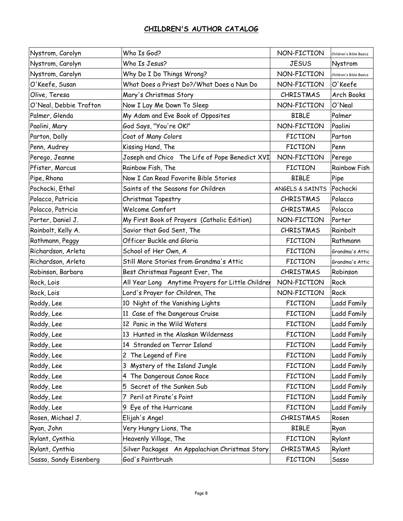| Nystrom, Carolyn       | Who Is God?                                       | NON-FICTION      | Children's Bible Basics |
|------------------------|---------------------------------------------------|------------------|-------------------------|
| Nystrom, Carolyn       | Who Is Jesus?                                     | <b>JESUS</b>     | Nystrom                 |
| Nystrom, Carolyn       | Why Do I Do Things Wrong?                         | NON-FICTION      | Children's Bible Basics |
| O'Keefe, Susan         | What Does a Priest Do?/What Does a Nun Do         | NON-FICTION      | O'Keefe                 |
| Olive, Teresa          | Mary's Christmas Story                            | <b>CHRISTMAS</b> | Arch Books              |
| O'Neal, Debbie Trafton | Now I Lay Me Down To Sleep                        | NON-FICTION      | O'Neal                  |
| Palmer, Glenda         | My Adam and Eve Book of Opposites                 | <b>BIBLE</b>     | Palmer                  |
| Paolini, Mary          | God Says, "You're OK!"                            | NON-FICTION      | Paolini                 |
| Parton, Dolly          | Coat of Many Colors                               | <b>FICTION</b>   | Parton                  |
| Penn, Audrey           | Kissing Hand, The                                 | <b>FICTION</b>   | Penn                    |
| Perego, Jeanne         | Joseph and Chico The Life of Pope Benedict XVI    | NON-FICTION      | Perego                  |
| Pfister, Marcus        | Rainbow Fish, The                                 | <b>FICTION</b>   | <b>Rainbow Fish</b>     |
| Pipe, Rhona            | Now I Can Read Favorite Bible Stories             | <b>BIBLE</b>     | Pipe                    |
| Pochocki, Ethel        | Saints of the Seasons for Children                | ANGELS & SAINTS  | Pochocki                |
| Polacco, Patricia      | Christmas Tapestry                                | <b>CHRISTMAS</b> | Polacco                 |
| Polacco, Patricia      | Welcome Comfort                                   | <b>CHRISTMAS</b> | Polacco                 |
| Porter, Daniel J.      | My First Book of Prayers (Catholic Edition)       | NON-FICTION      | Porter                  |
| Rainbolt, Kelly A.     | Savior that God Sent, The                         | <b>CHRISTMAS</b> | Rainbolt                |
| Rathmann, Peggy        | Officer Buckle and Gloria                         | <b>FICTION</b>   | Rathmann                |
| Richardson, Arleta     | School of Her Own, A                              | <b>FICTION</b>   | Grandma's Attic         |
| Richardson, Arleta     | Still More Stories from Grandma's Attic           | <b>FICTION</b>   | Grandma's Attic         |
| Robinson, Barbara      | Best Christmas Pageant Ever, The                  | <b>CHRISTMAS</b> | Robinson                |
| Rock, Lois             | All Year Long Anytime Prayers for Little Childrer | NON-FICTION      | Rock                    |
| Rock, Lois             | Lord's Prayer for Children, The                   | NON-FICTION      | Rock                    |
| Roddy, Lee             | 10 Night of the Vanishing Lights                  | <b>FICTION</b>   | <b>Ladd Family</b>      |
| Roddy, Lee             | 11 Case of the Dangerous Cruise                   | <b>FICTION</b>   | <b>Ladd Family</b>      |
| Roddy, Lee             | 12 Panic in the Wild Waters                       | <b>FICTION</b>   | <b>Ladd Family</b>      |
| Roddy, Lee             | 13 Hunted in the Alaskan Wilderness               | <b>FICTION</b>   | <b>Ladd Family</b>      |
| Roddy, Lee             | 14 Stranded on Terror Island                      | <b>FICTION</b>   | <b>Ladd Family</b>      |
| Roddy, Lee             | 2 The Legend of Fire                              | <b>FICTION</b>   | <b>Ladd Family</b>      |
| Roddy, Lee             | 3 Mystery of the Island Jungle                    | <b>FICTION</b>   | <b>Ladd Family</b>      |
| Roddy, Lee             | 4 The Dangerous Canoe Race                        | <b>FICTION</b>   | <b>Ladd Family</b>      |
| Roddy, Lee             | Secret of the Sunken Sub<br>5                     | <b>FICTION</b>   | Ladd Family             |
| Roddy, Lee             | 7 Peril at Pirate's Point                         | <b>FICTION</b>   | <b>Ladd Family</b>      |
| Roddy, Lee             | 9 Eye of the Hurricane                            | <b>FICTION</b>   | Ladd Family             |
| Rosen, Michael J.      | Elijah's Angel                                    | <b>CHRISTMAS</b> | Rosen                   |
| Ryan, John             | Very Hungry Lions, The                            | <b>BIBLE</b>     | Ryan                    |
| Rylant, Cynthia        | Heavenly Village, The                             | <b>FICTION</b>   | Rylant                  |
| Rylant, Cynthia        | Silver Packages An Appalachian Christmas Story    | CHRISTMAS        | Rylant                  |
| Sasso, Sandy Eisenberg | God's Paintbrush                                  | <b>FICTION</b>   | Sasso                   |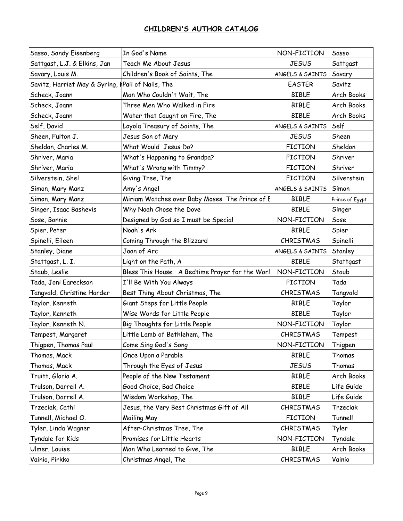| Sasso, Sandy Eisenberg                            | In God's Name                                  | NON-FICTION      | Sasso           |
|---------------------------------------------------|------------------------------------------------|------------------|-----------------|
| Sattgast, L.J. & Elkins, Jan                      | Teach Me About Jesus                           | <b>JESUS</b>     | Sattgast        |
| Savary, Louis M.                                  | Children's Book of Saints, The                 | ANGELS & SAINTS  | Savary          |
| Savitz, Harriet May & Syring, IPail of Nails, The |                                                | <b>EASTER</b>    | Savitz          |
| Scheck, Joann                                     | Man Who Couldn't Wait, The                     | <b>BIBLE</b>     | Arch Books      |
| Scheck, Joann                                     | Three Men Who Walked in Fire                   | <b>BIBLE</b>     | Arch Books      |
| Scheck, Joann                                     | Water that Caught on Fire, The                 | <b>BIBLE</b>     | Arch Books      |
| Self, David                                       | Loyola Treasury of Saints, The                 | ANGELS & SAINTS  | Self            |
| Sheen, Fulton J.                                  | Jesus Son of Mary                              | <b>JESUS</b>     | Sheen           |
| Sheldon, Charles M.                               | What Would Jesus Do?                           | <b>FICTION</b>   | Sheldon         |
| Shriver, Maria                                    | What's Happening to Grandpa?                   | <b>FICTION</b>   | Shriver         |
| Shriver, Maria                                    | What's Wrong with Timmy?                       | <b>FICTION</b>   | Shriver         |
| Silverstein, Shel                                 | Giving Tree, The                               | <b>FICTION</b>   | Silverstein     |
| Simon, Mary Manz                                  | Amy's Angel                                    | ANGELS & SAINTS  | Simon           |
| Simon, Mary Manz                                  | Miriam Watches over Baby Moses The Prince of E | <b>BIBLE</b>     | Prince of Egypt |
| Singer, Isaac Bashevis                            | Why Noah Chose the Dove                        | <b>BIBLE</b>     | Singer          |
| Sose, Bonnie                                      | Designed by God so I must be Special           | NON-FICTION      | Sose            |
| Spier, Peter                                      | Noah's Ark                                     | <b>BIBLE</b>     | Spier           |
| Spinelli, Eileen                                  | Coming Through the Blizzard                    | <b>CHRISTMAS</b> | Spinelli        |
| Stanley, Diane                                    | Joan of Arc                                    | ANGELS & SAINTS  | Stanley         |
| Stattgast, L. I.                                  | Light on the Path, A                           | <b>BIBLE</b>     | Stattgast       |
| Staub, Leslie                                     | Bless This House A Bedtime Prayer for the Worl | NON-FICTION      | Staub           |
| Tada, Joni Eareckson                              | I'll Be With You Always                        | <b>FICTION</b>   | Tada            |
| Tangvald, Christine Harder                        | Best Thing About Christmas, The                | <b>CHRISTMAS</b> | Tangvald        |
| Taylor, Kenneth                                   | Giant Steps for Little People                  | <b>BIBLE</b>     | Taylor          |
| Taylor, Kenneth                                   | Wise Words for Little People                   | <b>BIBLE</b>     | Taylor          |
| Taylor, Kenneth N.                                | Big Thoughts for Little People                 | NON-FICTION      | Taylor          |
| Tempest, Margaret                                 | Little Lamb of Bethlehem, The                  | <b>CHRISTMAS</b> | Tempest         |
| Thigpen, Thomas Paul                              | Come Sing God's Song                           | NON-FICTION      | Thigpen         |
| Thomas, Mack                                      | Once Upon a Parable                            | <b>BIBLE</b>     | Thomas          |
| Thomas, Mack                                      | Through the Eyes of Jesus                      | <b>JESUS</b>     | Thomas          |
| Truitt, Gloria A.                                 | People of the New Testament                    | <b>BIBLE</b>     | Arch Books      |
| Trulson, Darrell A.                               | Good Choice, Bad Choice                        | <b>BIBLE</b>     | Life Guide      |
| Trulson, Darrell A.                               | Wisdom Workshop, The                           | <b>BIBLE</b>     | Life Guide      |
| Trzeciak, Cathi                                   | Jesus, the Very Best Christmas Gift of All     | <b>CHRISTMAS</b> | Trzeciak        |
| Tunnell, Michael O.                               | Mailing May                                    | <b>FICTION</b>   | Tunnell         |
| Tyler, Linda Wagner                               | After-Christmas Tree, The                      | <b>CHRISTMAS</b> | Tyler           |
| Tyndale for Kids                                  | Promises for Little Hearts                     | NON-FICTION      | Tyndale         |
| Ulmer, Louise                                     | Man Who Learned to Give, The                   | <b>BIBLE</b>     | Arch Books      |
| Vainio, Pirkko                                    | Christmas Angel, The                           | CHRISTMAS        | Vainio          |